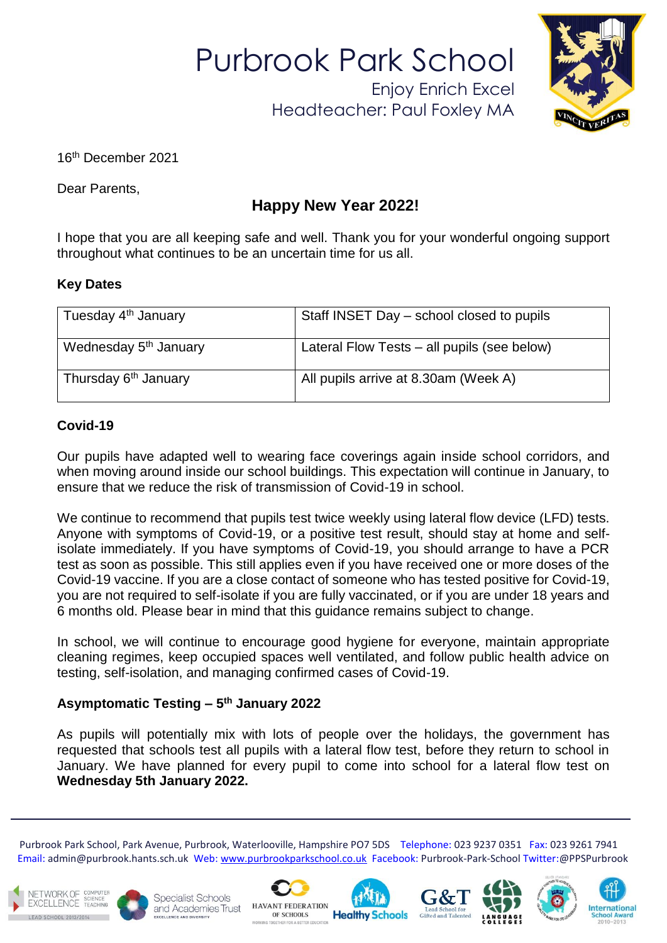Purbrook Park School

Enjoy Enrich Excel Headteacher: Paul Foxley MA



16th December 2021

Dear Parents,

# **Happy New Year 2022!**

I hope that you are all keeping safe and well. Thank you for your wonderful ongoing support throughout what continues to be an uncertain time for us all.

### **Key Dates**

| Tuesday 4 <sup>th</sup> January   | Staff INSET Day – school closed to pupils   |  |
|-----------------------------------|---------------------------------------------|--|
| Wednesday 5 <sup>th</sup> January | Lateral Flow Tests – all pupils (see below) |  |
| Thursday 6 <sup>th</sup> January  | All pupils arrive at 8.30am (Week A)        |  |

### **Covid-19**

Our pupils have adapted well to wearing face coverings again inside school corridors, and when moving around inside our school buildings. This expectation will continue in January, to ensure that we reduce the risk of transmission of Covid-19 in school.

We continue to recommend that pupils test twice weekly using lateral flow device (LFD) tests. Anyone with symptoms of Covid-19, or a positive test result, should stay at home and selfisolate immediately. If you have symptoms of Covid-19, you should arrange to have a PCR test as soon as possible. This still applies even if you have received one or more doses of the Covid-19 vaccine. If you are a close contact of someone who has tested positive for Covid-19, you are not required to self-isolate if you are fully vaccinated, or if you are under 18 years and 6 months old. Please bear in mind that this guidance remains subject to change.

In school, we will continue to encourage good hygiene for everyone, maintain appropriate cleaning regimes, keep occupied spaces well ventilated, and follow public health advice on testing, self-isolation, and managing confirmed cases of Covid-19.

## **Asymptomatic Testing – 5 th January 2022**

As pupils will potentially mix with lots of people over the holidays, the government has requested that schools test all pupils with a lateral flow test, before they return to school in January. We have planned for every pupil to come into school for a lateral flow test on **Wednesday 5th January 2022.**

 Purbrook Park School, Park Avenue, Purbrook, Waterlooville, Hampshire PO7 5DS Telephone: 023 9237 0351 Fax: 023 9261 7941 Email: admin@purbrook.hants.sch.uk Web: [www.purbrookparkschool.co.uk](http://www.purbrookparkschool.co.uk/) Facebook: Purbrook-Park-School Twitter:@PPSPurbrook